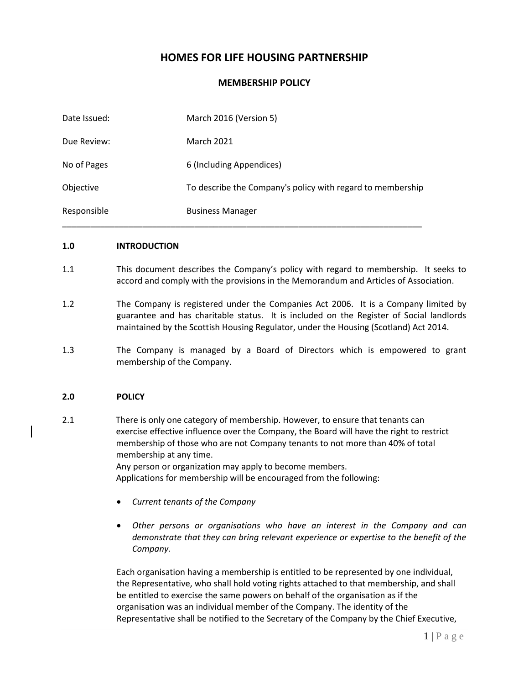## **HOMES FOR LIFE HOUSING PARTNERSHIP**

## **MEMBERSHIP POLICY**

| Date Issued: | March 2016 (Version 5)                                     |
|--------------|------------------------------------------------------------|
| Due Review:  | <b>March 2021</b>                                          |
| No of Pages  | 6 (Including Appendices)                                   |
| Objective    | To describe the Company's policy with regard to membership |
| Responsible  | <b>Business Manager</b>                                    |

#### **1.0 INTRODUCTION**

- 1.1 This document describes the Company's policy with regard to membership. It seeks to accord and comply with the provisions in the Memorandum and Articles of Association.
- 1.2 The Company is registered under the Companies Act 2006. It is a Company limited by guarantee and has charitable status. It is included on the Register of Social landlords maintained by the Scottish Housing Regulator, under the Housing (Scotland) Act 2014.
- 1.3 The Company is managed by a Board of Directors which is empowered to grant membership of the Company.

### **2.0 POLICY**

2.1 There is only one category of membership. However, to ensure that tenants can exercise effective influence over the Company, the Board will have the right to restrict membership of those who are not Company tenants to not more than 40% of total membership at any time. Any person or organization may apply to become members.

Applications for membership will be encouraged from the following:

- *Current tenants of the Company*
- *Other persons or organisations who have an interest in the Company and can demonstrate that they can bring relevant experience or expertise to the benefit of the Company.*

Each organisation having a membership is entitled to be represented by one individual, the Representative, who shall hold voting rights attached to that membership, and shall be entitled to exercise the same powers on behalf of the organisation as if the organisation was an individual member of the Company. The identity of the Representative shall be notified to the Secretary of the Company by the Chief Executive,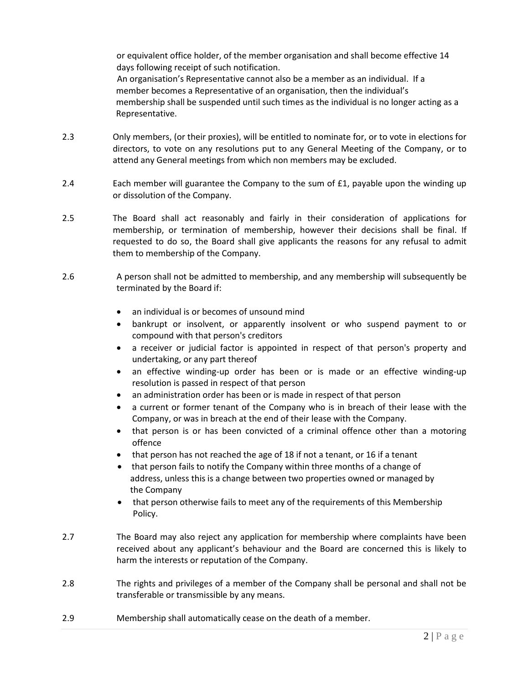or equivalent office holder, of the member organisation and shall become effective 14 days following receipt of such notification. An organisation's Representative cannot also be a member as an individual. If a member becomes a Representative of an organisation, then the individual's membership shall be suspended until such times as the individual is no longer acting as a Representative.

- 2.3 Only members, (or their proxies), will be entitled to nominate for, or to vote in elections for directors, to vote on any resolutions put to any General Meeting of the Company, or to attend any General meetings from which non members may be excluded.
- 2.4 Each member will guarantee the Company to the sum of £1, payable upon the winding up or dissolution of the Company.
- 2.5 The Board shall act reasonably and fairly in their consideration of applications for membership, or termination of membership, however their decisions shall be final. If requested to do so, the Board shall give applicants the reasons for any refusal to admit them to membership of the Company.
- 2.6 A person shall not be admitted to membership, and any membership will subsequently be terminated by the Board if:
	- an individual is or becomes of unsound mind
	- bankrupt or insolvent, or apparently insolvent or who suspend payment to or compound with that person's creditors
	- a receiver or judicial factor is appointed in respect of that person's property and undertaking, or any part thereof
	- an effective winding-up order has been or is made or an effective winding-up resolution is passed in respect of that person
	- an administration order has been or is made in respect of that person
	- a current or former tenant of the Company who is in breach of their lease with the Company, or was in breach at the end of their lease with the Company.
	- that person is or has been convicted of a criminal offence other than a motoring offence
	- that person has not reached the age of 18 if not a tenant, or 16 if a tenant
	- that person fails to notify the Company within three months of a change of address, unless this is a change between two properties owned or managed by the Company
	- that person otherwise fails to meet any of the requirements of this Membership Policy.
- 2.7 The Board may also reject any application for membership where complaints have been received about any applicant's behaviour and the Board are concerned this is likely to harm the interests or reputation of the Company.
- 2.8 The rights and privileges of a member of the Company shall be personal and shall not be transferable or transmissible by any means.
- 2.9 Membership shall automatically cease on the death of a member.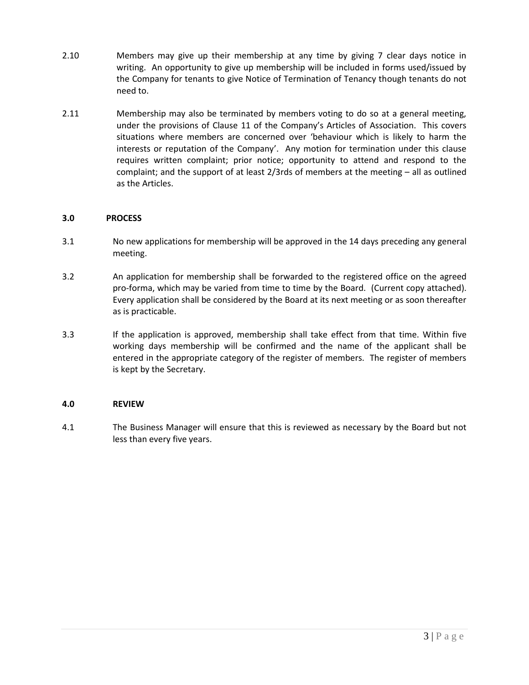- 2.10 Members may give up their membership at any time by giving 7 clear days notice in writing. An opportunity to give up membership will be included in forms used/issued by the Company for tenants to give Notice of Termination of Tenancy though tenants do not need to.
- 2.11 Membership may also be terminated by members voting to do so at a general meeting, under the provisions of Clause 11 of the Company's Articles of Association. This covers situations where members are concerned over 'behaviour which is likely to harm the interests or reputation of the Company'. Any motion for termination under this clause requires written complaint; prior notice; opportunity to attend and respond to the complaint; and the support of at least 2/3rds of members at the meeting – all as outlined as the Articles.

### **3.0 PROCESS**

- 3.1 No new applications for membership will be approved in the 14 days preceding any general meeting.
- 3.2 An application for membership shall be forwarded to the registered office on the agreed pro-forma, which may be varied from time to time by the Board. (Current copy attached). Every application shall be considered by the Board at its next meeting or as soon thereafter as is practicable.
- 3.3 If the application is approved, membership shall take effect from that time. Within five working days membership will be confirmed and the name of the applicant shall be entered in the appropriate category of the register of members. The register of members is kept by the Secretary.

### **4.0 REVIEW**

4.1 The Business Manager will ensure that this is reviewed as necessary by the Board but not less than every five years.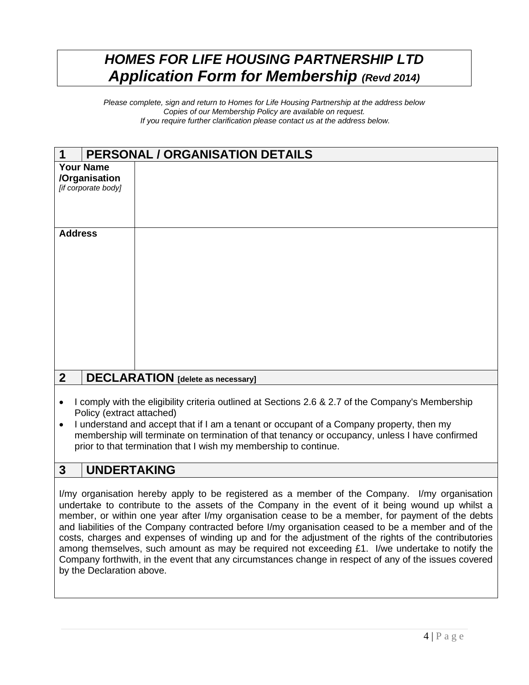# *HOMES FOR LIFE HOUSING PARTNERSHIP LTD Application Form for Membership (Revd 2014)*

*Please complete, sign and return to Homes for Life Housing Partnership at the address below Copies of our Membership Policy are available on request. If you require further clarification please contact us at the address below.*

| <b>PERSONAL / ORGANISATION DETAILS</b><br>1                |  |  |
|------------------------------------------------------------|--|--|
| <b>Your Name</b><br>/Organisation<br>[if corporate body]   |  |  |
| <b>Address</b>                                             |  |  |
| $\overline{2}$<br><b>DECLARATION</b> [delete as necessary] |  |  |

- I comply with the eligibility criteria outlined at Sections 2.6 & 2.7 of the Company's Membership Policy (extract attached)
- I understand and accept that if I am a tenant or occupant of a Company property, then my membership will terminate on termination of that tenancy or occupancy, unless I have confirmed prior to that termination that I wish my membership to continue.

## **3 UNDERTAKING**

I/my organisation hereby apply to be registered as a member of the Company. I/my organisation undertake to contribute to the assets of the Company in the event of it being wound up whilst a member, or within one year after I/my organisation cease to be a member, for payment of the debts and liabilities of the Company contracted before I/my organisation ceased to be a member and of the costs, charges and expenses of winding up and for the adjustment of the rights of the contributories among themselves, such amount as may be required not exceeding £1. I/we undertake to notify the Company forthwith, in the event that any circumstances change in respect of any of the issues covered by the Declaration above.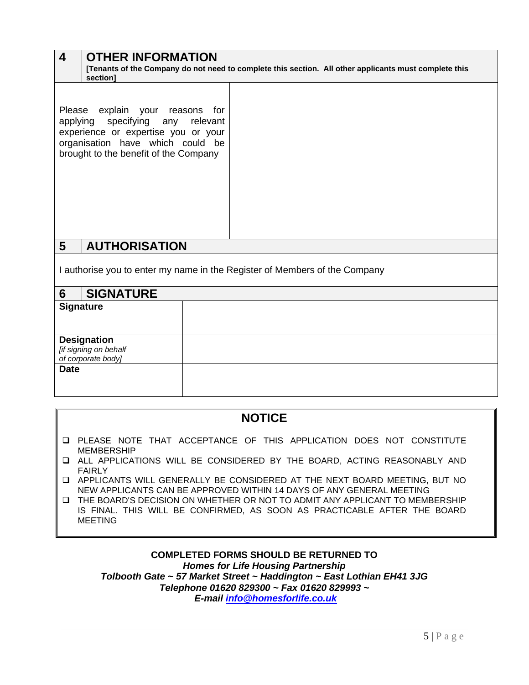| $\overline{4}$                                                             | <b>OTHER INFORMATION</b><br>[Tenants of the Company do not need to complete this section. All other applicants must complete this<br>section]                                        |  |
|----------------------------------------------------------------------------|--------------------------------------------------------------------------------------------------------------------------------------------------------------------------------------|--|
| applying                                                                   | Please explain your reasons<br>for<br>specifying any<br>relevant<br>experience or expertise you or your<br>organisation have which could be<br>brought to the benefit of the Company |  |
| 5 <sup>5</sup>                                                             | <b>AUTHORISATION</b>                                                                                                                                                                 |  |
| I authorise you to enter my name in the Register of Members of the Company |                                                                                                                                                                                      |  |
| 6                                                                          | <b>SIGNATURE</b>                                                                                                                                                                     |  |

| v<br>$\mathbf{v}$                                                 |  |
|-------------------------------------------------------------------|--|
| <b>Signature</b>                                                  |  |
| <b>Designation</b><br>[if signing on behalf<br>of corporate body] |  |
| <b>Date</b>                                                       |  |

## **NOTICE**

- ❑ PLEASE NOTE THAT ACCEPTANCE OF THIS APPLICATION DOES NOT CONSTITUTE MEMBERSHIP
- ❑ ALL APPLICATIONS WILL BE CONSIDERED BY THE BOARD, ACTING REASONABLY AND FAIRLY
- ❑ APPLICANTS WILL GENERALLY BE CONSIDERED AT THE NEXT BOARD MEETING, BUT NO NEW APPLICANTS CAN BE APPROVED WITHIN 14 DAYS OF ANY GENERAL MEETING
- ❑ THE BOARD'S DECISION ON WHETHER OR NOT TO ADMIT ANY APPLICANT TO MEMBERSHIP IS FINAL. THIS WILL BE CONFIRMED, AS SOON AS PRACTICABLE AFTER THE BOARD MEETING

### **COMPLETED FORMS SHOULD BE RETURNED TO**  *Homes for Life Housing Partnership Tolbooth Gate ~ 57 Market Street ~ Haddington ~ East Lothian EH41 3JG Telephone 01620 829300 ~ Fax 01620 829993 ~ E-mail [info@homesforlife.co.uk](mailto:info@homesforlife.co.uk)*